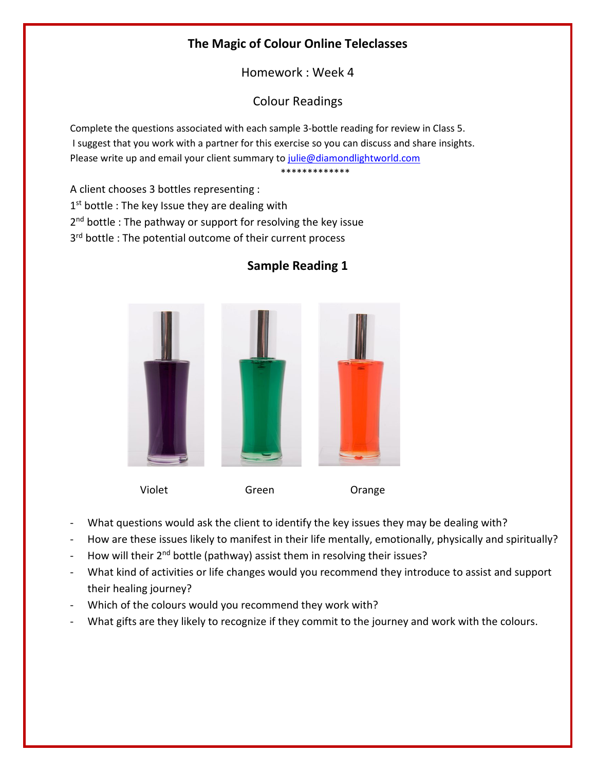## The Magic of Colour Online Teleclasses

Homework : Week 4

Colour Readings

Complete the questions associated with each sample 3-bottle reading for review in Class 5. I suggest that you work with a partner for this exercise so you can discuss and share insights. Please write up and email your client summary to julie@diamondlightworld.com

\*\*\*\*\*\*\*\*\*\*\*\*\*

A client chooses 3 bottles representing :

1<sup>st</sup> bottle : The key Issue they are dealing with

2<sup>nd</sup> bottle : The pathway or support for resolving the key issue

3<sup>rd</sup> bottle : The potential outcome of their current process



## Sample Reading 1

Violet Green Orange

- What questions would ask the client to identify the key issues they may be dealing with?
- How are these issues likely to manifest in their life mentally, emotionally, physically and spiritually?
- How will their 2<sup>nd</sup> bottle (pathway) assist them in resolving their issues?
- What kind of activities or life changes would you recommend they introduce to assist and support their healing journey?
- Which of the colours would you recommend they work with?
- What gifts are they likely to recognize if they commit to the journey and work with the colours.